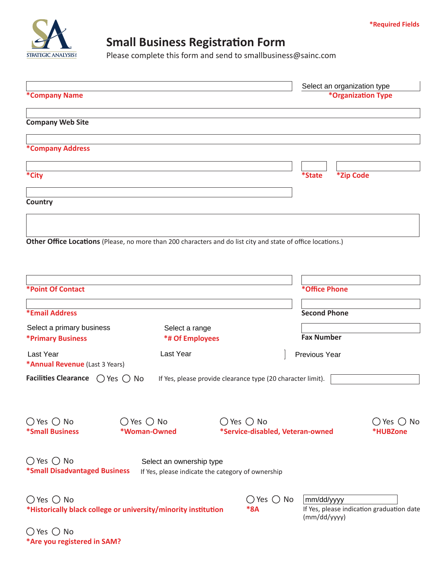

## **Small Business Registration Form**

Please complete this form and send to smallbusiness@sainc.com

| *Company Name                                                 |                                                                                                              |                                                                  | Select an organization type<br>*Organization Type                       |  |
|---------------------------------------------------------------|--------------------------------------------------------------------------------------------------------------|------------------------------------------------------------------|-------------------------------------------------------------------------|--|
| <b>Company Web Site</b>                                       |                                                                                                              |                                                                  |                                                                         |  |
| *Company Address                                              |                                                                                                              |                                                                  |                                                                         |  |
| *City                                                         |                                                                                                              |                                                                  | <i><b>*State</b></i><br>*Zip Code                                       |  |
| Country                                                       |                                                                                                              |                                                                  |                                                                         |  |
|                                                               | Other Office Locations (Please, no more than 200 characters and do list city and state of office locations.) |                                                                  |                                                                         |  |
| <b>*Point Of Contact</b>                                      |                                                                                                              |                                                                  | *Office Phone                                                           |  |
| *Email Address                                                |                                                                                                              |                                                                  | <b>Second Phone</b>                                                     |  |
| Select a primary business<br><b>*Primary Business</b>         | Select a range<br><b>*# Of Employees</b>                                                                     |                                                                  | <b>Fax Number</b>                                                       |  |
| <b>Last Year</b><br>*Annual Revenue (Last 3 Years)            | Last Year                                                                                                    |                                                                  | Previous Year                                                           |  |
| Facilities Clearance $\bigcirc$ Yes $\bigcirc$ No             |                                                                                                              | If Yes, please provide clearance type (20 character limit).      |                                                                         |  |
| $\bigcirc$ Yes $\bigcirc$ No<br><b>*Small Business</b>        | $\bigcirc$ Yes $\bigcirc$ No<br>*Woman-Owned                                                                 | $\bigcirc$ Yes $\bigcirc$ No<br>*Service-disabled, Veteran-owned | $\bigcirc$ Yes $\bigcirc$ No<br>*HUBZone                                |  |
| $\bigcirc$ Yes $\bigcirc$ No<br>*Small Disadvantaged Business | Select an ownership type<br>If Yes, please indicate the category of ownership                                |                                                                  |                                                                         |  |
| $\bigcirc$ Yes $\bigcirc$ No                                  | *Historically black college or university/minority institution                                               | $\bigcirc$ Yes $\bigcirc$ No<br>$*8A$                            | mm/dd/yyyy<br>If Yes, please indication graduation date<br>(mm/dd/yyyy) |  |
| $\bigcirc$ Yes $\bigcirc$ No<br>*Are you registered in SAM?   |                                                                                                              |                                                                  |                                                                         |  |